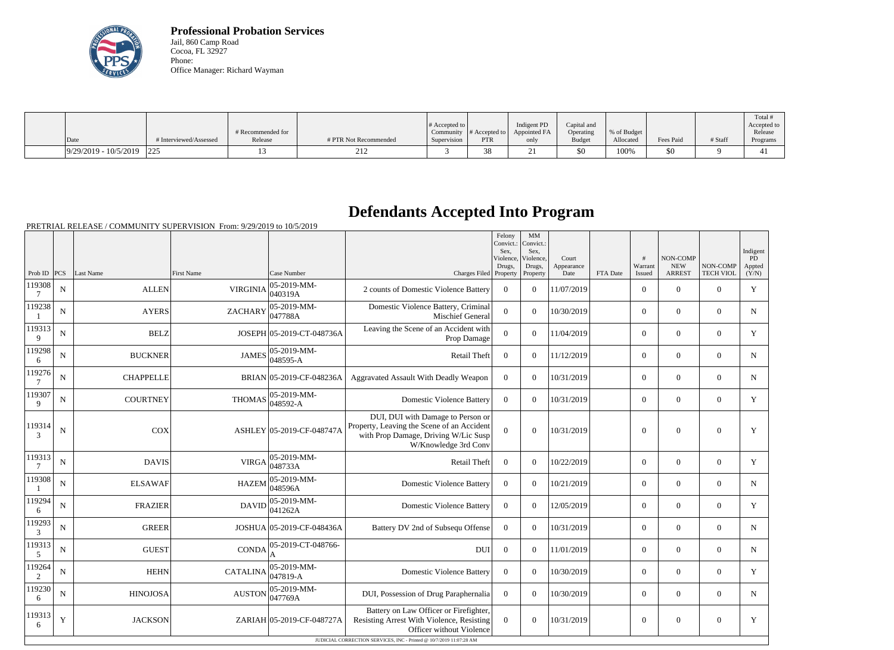

**Professional Probation Services** Jail, 860 Camp Road Cocoa, FL 32927 Phone: Office Manager: Richard Wayman

|                                                                                        |                        |                   |                        |                  |                  |              |               |             |           |         | Total !     |
|----------------------------------------------------------------------------------------|------------------------|-------------------|------------------------|------------------|------------------|--------------|---------------|-------------|-----------|---------|-------------|
|                                                                                        |                        |                   |                        | $\#$ Accepted to |                  | Indigent PD  | Capital and   |             |           |         | Accepted to |
|                                                                                        |                        | # Recommended for |                        | Community        | $\#$ Accepted to | Appointed FA | Operating     | % of Budget |           |         | Release     |
| Date                                                                                   | # Interviewed/Assessed | Release           | # PTR Not Recommended  | Supervision      | PTR              | only         | <b>Budget</b> | Allocated   | Fees Paid | # Staff | Programs    |
| $\left  \frac{9}{29/2019} - \frac{10}{5/2019} \right  \left  \frac{225}{2019} \right $ |                        |                   | $\sim$ 1 $\sim$<br>∠⊥∠ |                  | ററ<br>oς         |              | \$0           | 100%        | 50        |         |             |

## **Defendants Accepted Into Program**

PRETRIAL RELEASE / COMMUNITY SUPERVISION From: 9/29/2019 to 10/5/2019

|                  |             |                  |                   |                           |                                                                                                                                                                                        | Felony<br>Convict.:<br>Sex.<br>Violence,<br>Drugs, | MM<br>Convict.:<br>Sex.<br>Violence,<br>Drugs, | Court<br>Appearance |          | #<br>Warrant   | <b>NON-COMP</b><br><b>NEW</b> | NON-COMP         | Indigent<br>PD<br>Appted |
|------------------|-------------|------------------|-------------------|---------------------------|----------------------------------------------------------------------------------------------------------------------------------------------------------------------------------------|----------------------------------------------------|------------------------------------------------|---------------------|----------|----------------|-------------------------------|------------------|--------------------------|
| Prob ID $ PCS $  |             | Last Name        | <b>First Name</b> | Case Number               | Charges Filed Property                                                                                                                                                                 |                                                    | Property                                       | Date                | FTA Date | <b>Issued</b>  | <b>ARREST</b>                 | <b>TECH VIOL</b> | (Y/N)                    |
| 119308<br>$\tau$ | $\mathbf N$ | <b>ALLEN</b>     | <b>VIRGINIA</b>   | 05-2019-MM-<br>040319A    | 2 counts of Domestic Violence Battery                                                                                                                                                  | $\overline{0}$                                     | $\theta$                                       | 11/07/2019          |          | $\overline{0}$ | $\Omega$                      | $\Omega$         | Y                        |
| 119238           | $\mathbf N$ | <b>AYERS</b>     | <b>ZACHARY</b>    | 05-2019-MM-<br>047788A    | Domestic Violence Battery, Criminal<br><b>Mischief General</b>                                                                                                                         | $\Omega$                                           | $\theta$                                       | 10/30/2019          |          | $\overline{0}$ | $\Omega$                      | $\Omega$         | ${\bf N}$                |
| 119313<br>9      | $\mathbf N$ | <b>BELZ</b>      |                   | JOSEPH 05-2019-CT-048736A | Leaving the Scene of an Accident with<br>Prop Damage                                                                                                                                   | $\overline{0}$                                     | $\overline{0}$                                 | 11/04/2019          |          | $\overline{0}$ | $\mathbf{0}$                  | $\Omega$         | Y                        |
| 119298<br>6      | ${\bf N}$   | <b>BUCKNER</b>   | <b>JAMES</b>      | 05-2019-MM-<br>048595-A   | Retail Theft                                                                                                                                                                           | $\overline{0}$                                     | $\overline{0}$                                 | 11/12/2019          |          | $\overline{0}$ | $\Omega$                      | $\Omega$         | $\mathbf N$              |
| 119276<br>$\tau$ | $\mathbf N$ | <b>CHAPPELLE</b> |                   | BRIAN 05-2019-CF-048236A  | Aggravated Assault With Deadly Weapon                                                                                                                                                  | $\overline{0}$                                     | $\theta$                                       | 10/31/2019          |          | $\overline{0}$ | $\Omega$                      | $\theta$         | ${\bf N}$                |
| 119307<br>9      | $\mathbf N$ | <b>COURTNEY</b>  | <b>THOMAS</b>     | 05-2019-MM-<br>048592-A   | <b>Domestic Violence Battery</b>                                                                                                                                                       | $\overline{0}$                                     | $\theta$                                       | 10/31/2019          |          | $\overline{0}$ | $\Omega$                      | $\theta$         | Y                        |
| 119314<br>3      | $\mathbf N$ | COX              |                   | ASHLEY 05-2019-CF-048747A | DUI, DUI with Damage to Person or<br>Property, Leaving the Scene of an Accident<br>with Prop Damage, Driving W/Lic Susp<br>W/Knowledge 3rd Conv                                        | $\Omega$                                           | $\Omega$                                       | 10/31/2019          |          | $\Omega$       | $\Omega$                      | $\mathbf{0}$     | $\mathbf Y$              |
| 119313<br>7      | ${\bf N}$   | <b>DAVIS</b>     | <b>VIRGA</b>      | 05-2019-MM-<br>048733A    | Retail Theft                                                                                                                                                                           | $\Omega$                                           | $\Omega$                                       | 10/22/2019          |          | $\overline{0}$ | $\mathbf{0}$                  | $\overline{0}$   | Y                        |
| 119308           | ${\bf N}$   | <b>ELSAWAF</b>   | <b>HAZEM</b>      | 05-2019-MM-<br>048596A    | <b>Domestic Violence Battery</b>                                                                                                                                                       | $\Omega$                                           | $\Omega$                                       | 10/21/2019          |          | $\overline{0}$ | $\mathbf{0}$                  | $\overline{0}$   | N                        |
| 119294<br>6      | ${\bf N}$   | <b>FRAZIER</b>   | <b>DAVID</b>      | 05-2019-MM-<br>041262A    | <b>Domestic Violence Battery</b>                                                                                                                                                       | $\overline{0}$                                     | $\Omega$                                       | 12/05/2019          |          | $\overline{0}$ | $\mathbf{0}$                  | $\overline{0}$   | Y                        |
| 119293<br>3      | ${\bf N}$   | <b>GREER</b>     |                   | JOSHUA 05-2019-CF-048436A | Battery DV 2nd of Subsequ Offense                                                                                                                                                      | $\overline{0}$                                     | $\Omega$                                       | 10/31/2019          |          | $\overline{0}$ | $\mathbf{0}$                  | $\overline{0}$   | N                        |
| 119313<br>5      | ${\bf N}$   | <b>GUEST</b>     | <b>CONDA</b>      | 05-2019-CT-048766-        | <b>DUI</b>                                                                                                                                                                             | $\mathbf{0}$                                       | $\overline{0}$                                 | 11/01/2019          |          | $\overline{0}$ | $\mathbf{0}$                  | $\mathbf{0}$     | N                        |
| 119264<br>2      | ${\bf N}$   | <b>HEHN</b>      | <b>CATALINA</b>   | 05-2019-MM-<br>047819-A   | <b>Domestic Violence Battery</b>                                                                                                                                                       | $\mathbf{0}$                                       | $\overline{0}$                                 | 10/30/2019          |          | $\overline{0}$ | $\mathbf{0}$                  | $\mathbf{0}$     | Y                        |
| 119230<br>6      | ${\bf N}$   | <b>HINOJOSA</b>  | <b>AUSTON</b>     | 05-2019-MM-<br>047769A    | DUI, Possession of Drug Paraphernalia                                                                                                                                                  | $\mathbf{0}$                                       | $\Omega$                                       | 10/30/2019          |          | $\overline{0}$ | $\mathbf{0}$                  | $\mathbf{0}$     | N                        |
| 119313<br>6      | Y           | <b>JACKSON</b>   |                   | ZARIAH 05-2019-CF-048727A | Battery on Law Officer or Firefighter,<br>Resisting Arrest With Violence, Resisting<br>Officer without Violence<br>JUDICIAL CORRECTION SERVICES, INC - Printed @ 10/7/2019 11:07:28 AM | $\overline{0}$                                     | $\theta$                                       | 10/31/2019          |          | $\theta$       | $\Omega$                      | $\overline{0}$   | Y                        |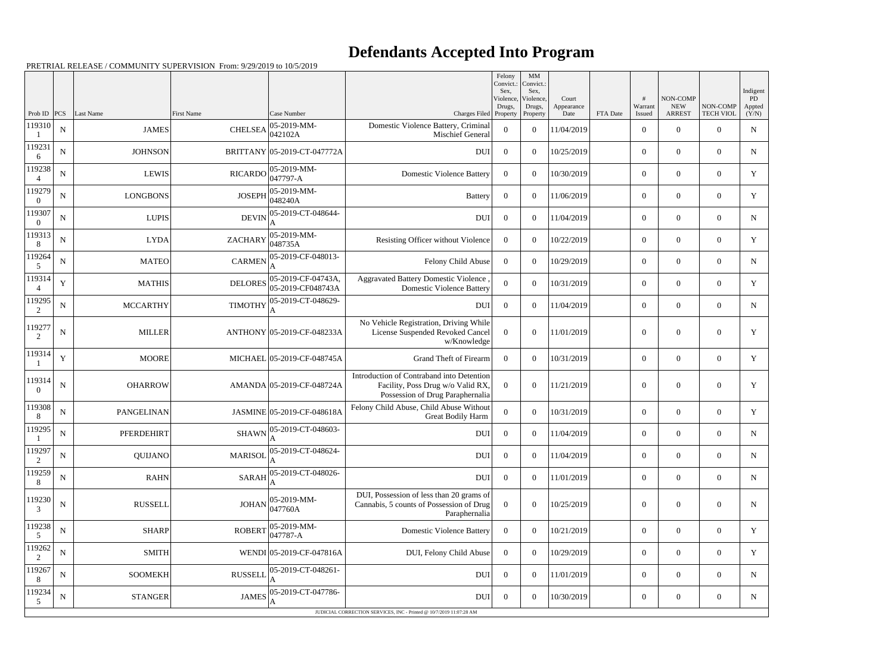## **Defendants Accepted Into Program**

PRETRIAL RELEASE / COMMUNITY SUPERVISION From: 9/29/2019 to 10/5/2019

|                          |             |                   |                   |                                             |                                                                                                                    | Felony<br>Convict.:<br>Sex. | MM<br>Convict.:<br>Sex,         |                             |          |                   |                                         |                              | Indigent                     |
|--------------------------|-------------|-------------------|-------------------|---------------------------------------------|--------------------------------------------------------------------------------------------------------------------|-----------------------------|---------------------------------|-----------------------------|----------|-------------------|-----------------------------------------|------------------------------|------------------------------|
| Prob ID                  | <b>PCS</b>  | Last Name         | <b>First Name</b> | Case Number                                 | Charges Filed Property                                                                                             | Violence,<br>Drugs,         | Violence,<br>Drugs,<br>Property | Court<br>Appearance<br>Date | FTA Date | Warrant<br>Issued | NON-COMP<br><b>NEW</b><br><b>ARREST</b> | NON-COMP<br><b>TECH VIOL</b> | <b>PD</b><br>Appted<br>(Y/N) |
| 119310                   | ${\bf N}$   | <b>JAMES</b>      | <b>CHELSEA</b>    | 05-2019-MM-<br>042102A                      | Domestic Violence Battery, Criminal<br>Mischief General                                                            | $\overline{0}$              | $\overline{0}$                  | 11/04/2019                  |          | $\overline{0}$    | $\overline{0}$                          | $\Omega$                     | $\mathbf N$                  |
| 119231<br>6              | ${\bf N}$   | <b>JOHNSON</b>    |                   | BRITTANY 05-2019-CT-047772A                 | <b>DUI</b>                                                                                                         | $\overline{0}$              | $\overline{0}$                  | 10/25/2019                  |          | $\overline{0}$    | $\overline{0}$                          | $\overline{0}$               | N                            |
| 119238<br>$\overline{4}$ | ${\bf N}$   | <b>LEWIS</b>      | <b>RICARDO</b>    | 05-2019-MM-<br>$047797 - A$                 | <b>Domestic Violence Battery</b>                                                                                   | $\overline{0}$              | $\theta$                        | 10/30/2019                  |          | $\overline{0}$    | $\overline{0}$                          | $\theta$                     | Y                            |
| 119279                   | ${\bf N}$   | <b>LONGBONS</b>   | <b>JOSEPH</b>     | 05-2019-MM-<br>048240A                      | <b>Battery</b>                                                                                                     | $\overline{0}$              | $\overline{0}$                  | 11/06/2019                  |          | $\boldsymbol{0}$  | $\overline{0}$                          | $\overline{0}$               | Y                            |
| 119307<br>$\theta$       | $\mathbf N$ | <b>LUPIS</b>      | <b>DEVIN</b>      | 05-2019-CT-048644-                          | <b>DUI</b>                                                                                                         | $\overline{0}$              | $\Omega$                        | 11/04/2019                  |          | $\overline{0}$    | $\Omega$                                | $\theta$                     | N                            |
| 119313<br>8              | ${\bf N}$   | <b>LYDA</b>       | <b>ZACHARY</b>    | 05-2019-MM-<br>048735A                      | Resisting Officer without Violence                                                                                 | $\overline{0}$              | $\overline{0}$                  | 10/22/2019                  |          | $\overline{0}$    | $\theta$                                | $\overline{0}$               | Y                            |
| 119264<br>5              | ${\bf N}$   | <b>MATEO</b>      | <b>CARMEN</b>     | 05-2019-CF-048013-                          | Felony Child Abuse                                                                                                 | $\overline{0}$              | $\theta$                        | 10/29/2019                  |          | $\boldsymbol{0}$  | $\overline{0}$                          | $\theta$                     | N                            |
| 119314                   | $\mathbf Y$ | <b>MATHIS</b>     | <b>DELORES</b>    | 05-2019-CF-04743A,<br>05-2019-CF048743A     | <b>Aggravated Battery Domestic Violence</b><br><b>Domestic Violence Battery</b>                                    | $\overline{0}$              | $\overline{0}$                  | 10/31/2019                  |          | $\boldsymbol{0}$  | $\theta$                                | $\overline{0}$               | Y                            |
| 119295<br>2              | ${\bf N}$   | <b>MCCARTHY</b>   | <b>TIMOTHY</b>    | 05-2019-CT-048629-<br>A                     | <b>DUI</b>                                                                                                         | $\overline{0}$              | $\theta$                        | 11/04/2019                  |          | $\overline{0}$    | $\Omega$                                | $\Omega$                     | N                            |
| 119277<br>$\mathfrak{D}$ | ${\bf N}$   | <b>MILLER</b>     |                   | ANTHONY 05-2019-CF-048233A                  | No Vehicle Registration, Driving While<br>License Suspended Revoked Cancel<br>w/Knowledge                          | $\overline{0}$              | $\theta$                        | 11/01/2019                  |          | $\boldsymbol{0}$  | $\theta$                                | $\theta$                     | Y                            |
| 119314                   | Y           | <b>MOORE</b>      |                   | MICHAEL 05-2019-CF-048745A                  | Grand Theft of Firearm                                                                                             | $\overline{0}$              | $\theta$                        | 10/31/2019                  |          | $\boldsymbol{0}$  | $\overline{0}$                          | $\overline{0}$               | $\mathbf Y$                  |
| 119314                   | N           | <b>OHARROW</b>    |                   | AMANDA 05-2019-CF-048724A                   | Introduction of Contraband into Detention<br>Facility, Poss Drug w/o Valid RX,<br>Possession of Drug Paraphernalia | $\theta$                    | $\theta$                        | 11/21/2019                  |          | $\overline{0}$    | $\theta$                                | $\theta$                     | Y                            |
| 119308<br>8              | $\mathbf N$ | <b>PANGELINAN</b> |                   | JASMINE 05-2019-CF-048618A                  | Felony Child Abuse, Child Abuse Without<br>Great Bodily Harm                                                       | $\overline{0}$              | $\theta$                        | 10/31/2019                  |          | $\boldsymbol{0}$  | $\overline{0}$                          | $\overline{0}$               | Y                            |
| 119295                   | ${\bf N}$   | <b>PFERDEHIRT</b> |                   | $SHAWN$ $\Big _A^{05-2019-CT-048603-}$<br>A | <b>DUI</b>                                                                                                         | $\overline{0}$              | $\overline{0}$                  | 11/04/2019                  |          | $\boldsymbol{0}$  | $\boldsymbol{0}$                        | $\overline{0}$               | $N_{\rm}$                    |
| 119297<br>2              | ${\bf N}$   | <b>QUIJANO</b>    | <b>MARISOL</b>    | 05-2019-CT-048624-                          | <b>DUI</b>                                                                                                         | $\overline{0}$              | $\overline{0}$                  | 11/04/2019                  |          | $\boldsymbol{0}$  | $\overline{0}$                          | $\overline{0}$               | N                            |
| 119259                   | $\mathbf N$ | <b>RAHN</b>       | <b>SARAH</b>      | 05-2019-CT-048026-                          | DUI                                                                                                                | $\overline{0}$              | $\overline{0}$                  | 11/01/2019                  |          | $\overline{0}$    | $\boldsymbol{0}$                        | $\overline{0}$               | N                            |
| 119230<br>3              | $\mathbf N$ | <b>RUSSELL</b>    | <b>JOHAN</b>      | 05-2019-MM-<br>047760A                      | DUI, Possession of less than 20 grams of<br>Cannabis, 5 counts of Possession of Drug<br>Paraphernalia              | $\overline{0}$              | $\overline{0}$                  | 10/25/2019                  |          | $\boldsymbol{0}$  | $\boldsymbol{0}$                        | $\boldsymbol{0}$             | $\mathbf N$                  |
| 119238<br>5              | ${\bf N}$   | <b>SHARP</b>      | <b>ROBERT</b>     | 05-2019-MM-<br>047787-A                     | <b>Domestic Violence Battery</b>                                                                                   | $\overline{0}$              | $\overline{0}$                  | 10/21/2019                  |          | $\overline{0}$    | $\overline{0}$                          | $\overline{0}$               | Y                            |
| 119262<br>2              | N           | <b>SMITH</b>      |                   | WENDI 05-2019-CF-047816A                    | DUI, Felony Child Abuse                                                                                            | $\overline{0}$              | $\theta$                        | 10/29/2019                  |          | $\overline{0}$    | $\overline{0}$                          | $\overline{0}$               | Y                            |
| 119267                   | $\mathbf N$ | <b>SOOMEKH</b>    | <b>RUSSELL</b>    | 05-2019-CT-048261-                          | DUI                                                                                                                | $\overline{0}$              | $\overline{0}$                  | 11/01/2019                  |          | $\overline{0}$    | $\boldsymbol{0}$                        | $\overline{0}$               | N                            |
| 119234<br>5              | $\mathbf N$ | <b>STANGER</b>    | <b>JAMES</b>      | 05-2019-CT-047786-                          | <b>DUI</b>                                                                                                         | $\overline{0}$              | $\boldsymbol{0}$                | 10/30/2019                  |          | $\boldsymbol{0}$  | $\overline{0}$                          | $\overline{0}$               | N                            |
|                          |             |                   |                   |                                             | JUDICIAL CORRECTION SERVICES, INC - Printed @ 10/7/2019 11:07:28 AM                                                |                             |                                 |                             |          |                   |                                         |                              |                              |